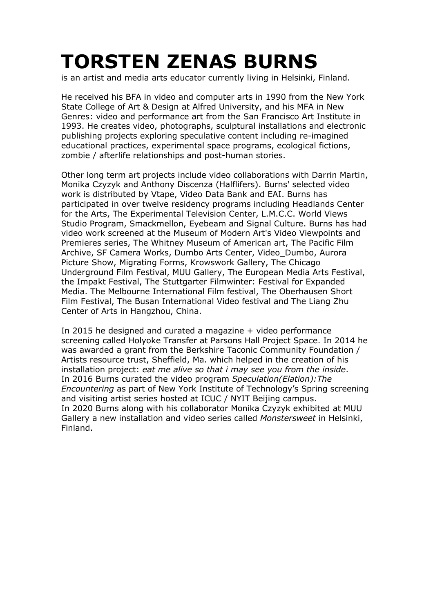## **TORSTEN ZENAS BURNS**

is an artist and media arts educator currently living in Helsinki, Finland.

He received his BFA in video and computer arts in 1990 from the New York State College of Art & Design at Alfred University, and his MFA in New Genres: video and performance art from the San Francisco Art Institute in 1993. He creates video, photographs, sculptural installations and electronic publishing projects exploring speculative content including re-imagined educational practices, experimental space programs, ecological fictions, zombie / afterlife relationships and post-human stories.

Other long term art projects include video collaborations with Darrin Martin, Monika Czyzyk and Anthony Discenza (Halflifers). Burns' selected video work is distributed by Vtape, Video Data Bank and EAI. Burns has participated in over twelve residency programs including Headlands Center for the Arts, The Experimental Television Center, L.M.C.C. World Views Studio Program, Smackmellon, Eyebeam and Signal Culture. Burns has had video work screened at the Museum of Modern Art's Video Viewpoints and Premieres series, The Whitney Museum of American art, The Pacific Film Archive, SF Camera Works, Dumbo Arts Center, Video\_Dumbo, Aurora Picture Show, Migrating Forms, Krowswork Gallery, The Chicago Underground Film Festival, MUU Gallery, The European Media Arts Festival, the Impakt Festival, The Stuttgarter Filmwinter: Festival for Expanded Media. The Melbourne International Film festival, The Oberhausen Short Film Festival, The Busan International Video festival and The Liang Zhu Center of Arts in Hangzhou, China.

In 2015 he designed and curated a magazine + video performance screening called Holyoke Transfer at Parsons Hall Project Space. In 2014 he was awarded a grant from the Berkshire Taconic Community Foundation / Artists resource trust, Sheffield, Ma. which helped in the creation of his installation project: *eat me alive so that i may see you from the inside*. In 2016 Burns curated the video program *Speculation(Elation):The Encountering* as part of New York Institute of Technology's Spring screening and visiting artist series hosted at ICUC / NYIT Beijing campus. In 2020 Burns along with his collaborator Monika Czyzyk exhibited at MUU Gallery a new installation and video series called *Monstersweet* in Helsinki, Finland.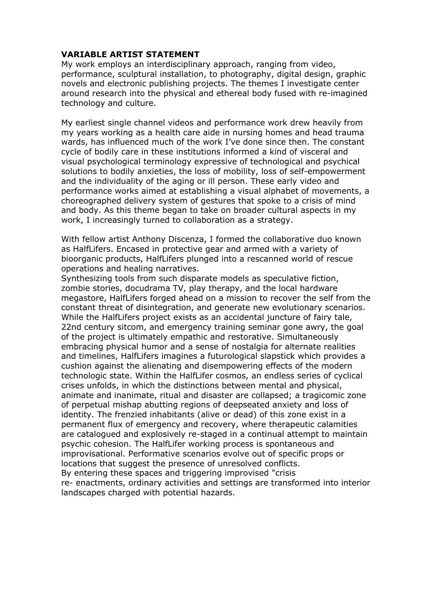## **VARIABLE ARTIST STATEMENT**

My work employs an interdisciplinary approach, ranging from video, performance, sculptural installation, to photography, digital design, graphic novels and electronic publishing projects. The themes I investigate center around research into the physical and ethereal body fused with re-imagined technology and culture.

My earliest single channel videos and performance work drew heavily from my years working as a health care aide in nursing homes and head trauma wards, has influenced much of the work I've done since then. The constant cycle of bodily care in these institutions informed a kind of visceral and visual psychological terminology expressive of technological and psychical solutions to bodily anxieties, the loss of mobility, loss of self-empowerment and the individuality of the aging or ill person. These early video and performance works aimed at establishing a visual alphabet of movements, a choreographed delivery system of gestures that spoke to a crisis of mind and body. As this theme began to take on broader cultural aspects in my work, I increasingly turned to collaboration as a strategy.

With fellow artist Anthony Discenza, I formed the collaborative duo known as HalfLifers. Encased in protective gear and armed with a variety of bioorganic products, HalfLifers plunged into a rescanned world of rescue operations and healing narratives.

Synthesizing tools from such disparate models as speculative fiction, zombie stories, docudrama TV, play therapy, and the local hardware megastore, HalfLifers forged ahead on a mission to recover the self from the constant threat of disintegration, and generate new evolutionary scenarios. While the HalfLifers project exists as an accidental juncture of fairy tale, 22nd century sitcom, and emergency training seminar gone awry, the goal of the project is ultimately empathic and restorative. Simultaneously embracing physical humor and a sense of nostalgia for alternate realities and timelines, HalfLifers imagines a futurological slapstick which provides a cushion against the alienating and disempowering effects of the modern technologic state. Within the HalfLifer cosmos, an endless series of cyclical crises unfolds, in which the distinctions between mental and physical, animate and inanimate, ritual and disaster are collapsed; a tragicomic zone of perpetual mishap abutting regions of deepseated anxiety and loss of identity. The frenzied inhabitants (alive or dead) of this zone exist in a permanent flux of emergency and recovery, where therapeutic calamities are catalogued and explosively re-staged in a continual attempt to maintain psychic cohesion. The HalfLifer working process is spontaneous and improvisational. Performative scenarios evolve out of specific props or locations that suggest the presence of unresolved conflicts. By entering these spaces and triggering improvised "crisis re- enactments, ordinary activities and settings are transformed into interior landscapes charged with potential hazards.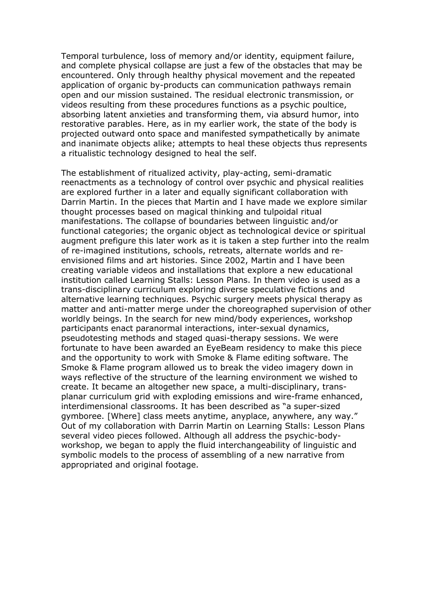Temporal turbulence, loss of memory and/or identity, equipment failure, and complete physical collapse are just a few of the obstacles that may be encountered. Only through healthy physical movement and the repeated application of organic by-products can communication pathways remain open and our mission sustained. The residual electronic transmission, or videos resulting from these procedures functions as a psychic poultice, absorbing latent anxieties and transforming them, via absurd humor, into restorative parables. Here, as in my earlier work, the state of the body is projected outward onto space and manifested sympathetically by animate and inanimate objects alike; attempts to heal these objects thus represents a ritualistic technology designed to heal the self.

The establishment of ritualized activity, play-acting, semi-dramatic reenactments as a technology of control over psychic and physical realities are explored further in a later and equally significant collaboration with Darrin Martin. In the pieces that Martin and I have made we explore similar thought processes based on magical thinking and tulpoidal ritual manifestations. The collapse of boundaries between linguistic and/or functional categories; the organic object as technological device or spiritual augment prefigure this later work as it is taken a step further into the realm of re-imagined institutions, schools, retreats, alternate worlds and reenvisioned films and art histories. Since 2002, Martin and I have been creating variable videos and installations that explore a new educational institution called Learning Stalls: Lesson Plans. In them video is used as a trans-disciplinary curriculum exploring diverse speculative fictions and alternative learning techniques. Psychic surgery meets physical therapy as matter and anti-matter merge under the choreographed supervision of other worldly beings. In the search for new mind/body experiences, workshop participants enact paranormal interactions, inter-sexual dynamics, pseudotesting methods and staged quasi-therapy sessions. We were fortunate to have been awarded an EyeBeam residency to make this piece and the opportunity to work with Smoke & Flame editing software. The Smoke & Flame program allowed us to break the video imagery down in ways reflective of the structure of the learning environment we wished to create. It became an altogether new space, a multi-disciplinary, transplanar curriculum grid with exploding emissions and wire-frame enhanced, interdimensional classrooms. It has been described as "a super-sized gymboree. [Where] class meets anytime, anyplace, anywhere, any way." Out of my collaboration with Darrin Martin on Learning Stalls: Lesson Plans several video pieces followed. Although all address the psychic-bodyworkshop, we began to apply the fluid interchangeability of linguistic and symbolic models to the process of assembling of a new narrative from appropriated and original footage.